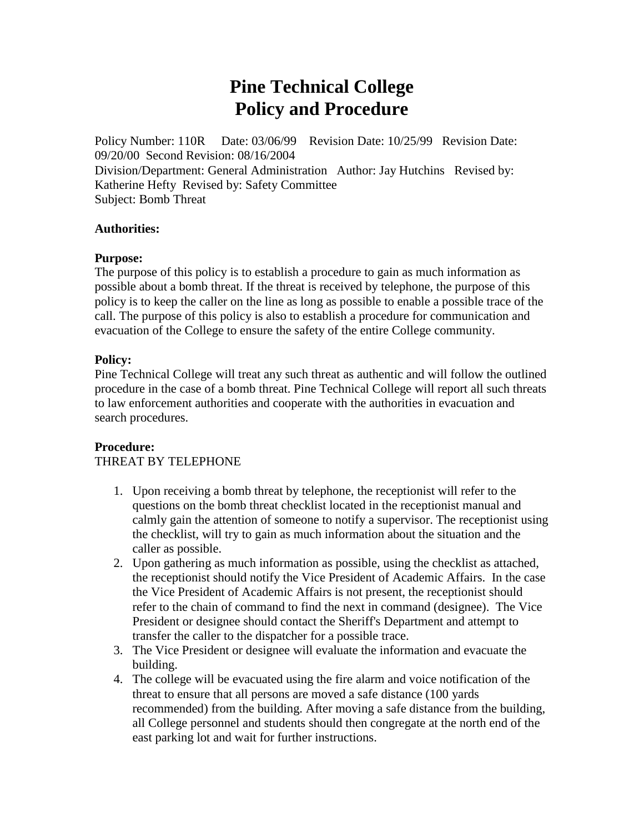# **Pine Technical College Policy and Procedure**

Policy Number: 110R Date: 03/06/99 Revision Date: 10/25/99 Revision Date: 09/20/00 Second Revision: 08/16/2004 Division/Department: General Administration Author: Jay Hutchins Revised by: Katherine Hefty Revised by: Safety Committee Subject: Bomb Threat

### **Authorities:**

### **Purpose:**

The purpose of this policy is to establish a procedure to gain as much information as possible about a bomb threat. If the threat is received by telephone, the purpose of this policy is to keep the caller on the line as long as possible to enable a possible trace of the call. The purpose of this policy is also to establish a procedure for communication and evacuation of the College to ensure the safety of the entire College community.

### **Policy:**

Pine Technical College will treat any such threat as authentic and will follow the outlined procedure in the case of a bomb threat. Pine Technical College will report all such threats to law enforcement authorities and cooperate with the authorities in evacuation and search procedures.

# **Procedure:**

#### THREAT BY TELEPHONE

- 1. Upon receiving a bomb threat by telephone, the receptionist will refer to the questions on the bomb threat checklist located in the receptionist manual and calmly gain the attention of someone to notify a supervisor. The receptionist using the checklist, will try to gain as much information about the situation and the caller as possible.
- 2. Upon gathering as much information as possible, using the checklist as attached, the receptionist should notify the Vice President of Academic Affairs. In the case the Vice President of Academic Affairs is not present, the receptionist should refer to the chain of command to find the next in command (designee). The Vice President or designee should contact the Sheriff's Department and attempt to transfer the caller to the dispatcher for a possible trace.
- 3. The Vice President or designee will evaluate the information and evacuate the building.
- 4. The college will be evacuated using the fire alarm and voice notification of the threat to ensure that all persons are moved a safe distance (100 yards recommended) from the building. After moving a safe distance from the building, all College personnel and students should then congregate at the north end of the east parking lot and wait for further instructions.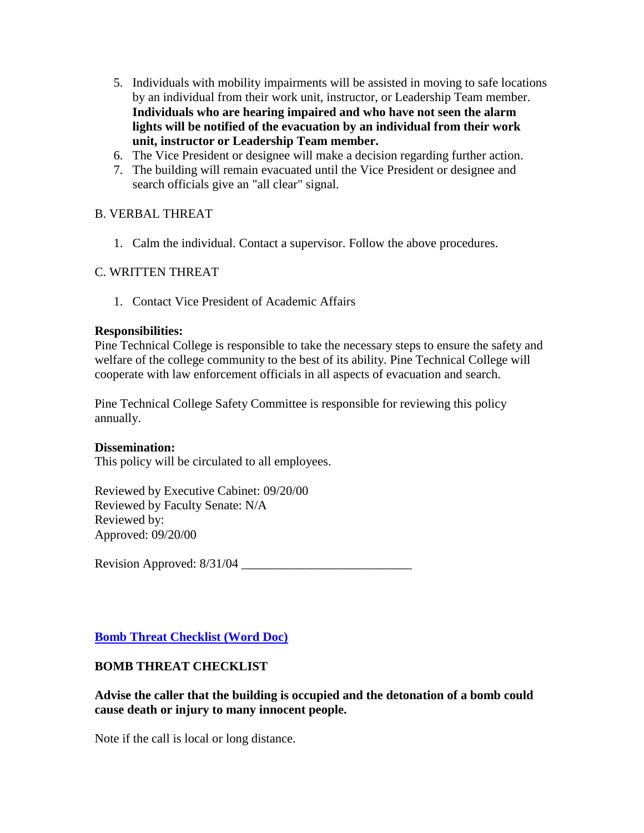- 5. Individuals with mobility impairments will be assisted in moving to safe locations by an individual from their work unit, instructor, or Leadership Team member. **Individuals who are hearing impaired and who have not seen the alarm lights will be notified of the evacuation by an individual from their work unit, instructor or Leadership Team member.**
- 6. The Vice President or designee will make a decision regarding further action.
- 7. The building will remain evacuated until the Vice President or designee and search officials give an "all clear" signal.

# B. VERBAL THREAT

1. Calm the individual. Contact a supervisor. Follow the above procedures.

# C. WRITTEN THREAT

1. Contact Vice President of Academic Affairs

### **Responsibilities:**

Pine Technical College is responsible to take the necessary steps to ensure the safety and welfare of the college community to the best of its ability. Pine Technical College will cooperate with law enforcement officials in all aspects of evacuation and search.

Pine Technical College Safety Committee is responsible for reviewing this policy annually.

# **Dissemination:**

This policy will be circulated to all employees.

Reviewed by Executive Cabinet: 09/20/00 Reviewed by Faculty Senate: N/A Reviewed by: Approved: 09/20/00

Revision Approved: 8/31/04 \_\_\_\_\_\_\_\_\_\_\_\_\_\_\_\_\_\_\_\_\_\_\_\_\_\_\_

**[Bomb Threat Checklist \(Word Doc\)](http://134.29.165.210/reports/BOMB_THREAT.doc)**

# **BOMB THREAT CHECKLIST**

**Advise the caller that the building is occupied and the detonation of a bomb could cause death or injury to many innocent people.**

Note if the call is local or long distance.